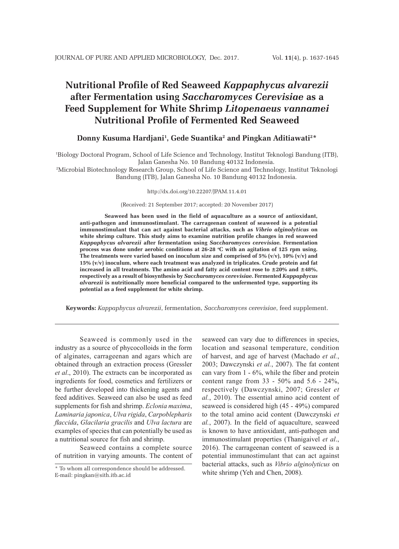# **Nutritional Profile of Red Seaweed** *Kappaphycus alvarezii* **after Fermentation using** *Saccharomyces Cerevisiae* **as a Feed Supplement for White Shrimp** *Litopenaeus vannamei* **Nutritional Profile of Fermented Red Seaweed**

# Donny Kusuma Hardjani<sup>1</sup>, Gede Suantika<sup>2</sup> and Pingkan Aditiawati<sup>2</sup>\*

1 Biology Doctoral Program, School of Life Science and Technology, Institut Teknologi Bandung (ITB), Jalan Ganesha No. 10 Bandung 40132 Indonesia.

2 Microbial Biotechnology Research Group, School of Life Science and Technology, Institut Teknologi Bandung (ITB), Jalan Ganesha No. 10 Bandung 40132 Indonesia.

#### http://dx.doi.org/10.22207/JPAM.11.4.01

(Received: 21 September 2017; accepted: 20 November 2017)

**Seaweed has been used in the field of aquaculture as a source of antioxidant, anti-pathogen and immunostimulant. The carrageenan content of seaweed is a potential immunostimulant that can act against bacterial attacks, such as** *Vibrio alginolyticus* **on white shrimp culture. This study aims to examine nutrition profile changes in red seaweed**  *Kappaphycus alvarezii* **after fermentation using** *Saccharomyces cerevisiae.* **Fermentation**  process was done under aerobic conditions at 26-28 °C with an agitation of 125 rpm using. **The treatments were varied based on inoculum size and comprised of 5% (v/v), 10% (v/v) and 15% (v/v) inoculum, where each treatment was analyzed in triplicates. Crude protein and fat increased in all treatments. The amino acid and fatty acid content rose to ±20% and ±48%, respectively as a result of biosynthesis by** *Saccharomyces cerevisiae***. Fermented** *Kappaphycus alvarezii* **is nutritionally more beneficial compared to the unfermented type, supporting its potential as a feed supplement for white shrimp.**

**Keywords:** *Kappaphycus alvarezii*, fermentation, *Saccharomyces cerevisiae*, feed supplement.

Seaweed is commonly used in the industry as a source of phycocolloids in the form of alginates, carrageenan and agars which are obtained through an extraction process (Gressler *et al*., 2010). The extracts can be incorporated as ingredients for food, cosmetics and fertilizers or be further developed into thickening agents and feed additives. Seaweed can also be used as feed supplements for fish and shrimp. *Eclonia maxima*, *Laminaria japonica*, *Ulva rigida*, *Carpoblepharis flaccida*, *Glacilaria gracilis* and *Ulva lactura* are examples of species that can potentially be used as a nutritional source for fish and shrimp.

Seaweed contains a complete source of nutrition in varying amounts. The content of seaweed can vary due to differences in species, location and seasonal temperature, condition of harvest, and age of harvest (Machado *et al.*, 2003; Dawczynski *et al.*, 2007). The fat content can vary from 1 - 6%, while the fiber and protein content range from 33 - 50% and 5.6 - 24%, respectively (Dawczynski, 2007; Gressler *et al.*, 2010). The essential amino acid content of seaweed is considered high (45 - 49%) compared to the total amino acid content (Dawczynski *et al.*, 2007). In the field of aquaculture, seaweed is known to have antioxidant, anti-pathogen and immunostimulant properties (Thanigaivel *et al*., 2016). The carrageenan content of seaweed is a potential immunostimulant that can act against bacterial attacks, such as *Vibrio alginolyticus* on white shrimp (Yeh and Chen, 2008).

<sup>\*</sup> To whom all correspondence should be addressed. E-mail: pingkan@sith.itb.ac.id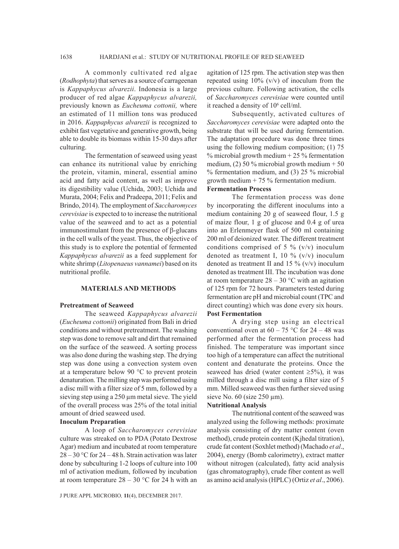A commonly cultivated red algae (*Rodhophyta*) that serves as a source of carrageenan is *Kappaphycus alvarezii*. Indonesia is a large producer of red algae *Kappaphycus alvarezii,*  previously known as *Eucheuma cottonii,* where an estimated of 11 million tons was produced in 2016. *Kappaphycus alvarezii* is recognized to exhibit fast vegetative and generative growth, being able to double its biomass within 15-30 days after culturing.

The fermentation of seaweed using yeast can enhance its nutritional value by enriching the protein, vitamin, mineral, essential amino acid and fatty acid content, as well as improve its digestibility value (Uchida, 2003; Uchida and Murata, 2004; Felix and Pradeepa, 2011; Felix and Brindo, 2014). The employment of *Saccharomyces cerevisiae* is expected to to increase the nutritional value of the seaweed and to act as a potential immunostimulant from the presence of  $\beta$ -glucans in the cell walls of the yeast. Thus, the objective of this study is to explore the potential of fermented *Kappaphycus alvarezii* as a feed supplement for white shrimp (*Litopenaeus vannamei*) based on its nutritional profile.

#### **MATERIALS AND METHODS**

## **Pretreatment of Seaweed**

The seaweed *Kappaphycus alvarezii*  (*Eucheuma cottonii*) originated from Bali in dried conditions and without pretreatment. The washing step was done to remove salt and dirt that remained on the surface of the seaweed. A sorting process was also done during the washing step. The drying step was done using a convection system oven at a temperature below 90 °C to prevent protein denaturation. The milling step was performed using a disc mill with a filter size of 5 mm, followed by a sieving step using a 250  $\mu$ m metal sieve. The yield of the overall process was 25% of the total initial amount of dried seaweed used.

# **Inoculum Preparation**

A loop of *Saccharomyces cerevisiae* culture was streaked on to PDA (Potato Dextrose Agar) medium and incubated at room temperature  $28 - 30$  °C for 24 – 48 h. Strain activation was later done by subculturing 1-2 loops of culture into 100 ml of activation medium, followed by incubation at room temperature  $28 - 30$  °C for 24 h with an

J PURE APPL MICROBIO*,* **11**(4), DECEMBER 2017.

agitation of 125 rpm. The activation step was then repeated using  $10\%$  (v/v) of inoculum from the previous culture. Following activation, the cells of *Saccharomyces cerevisiae* were counted until it reached a density of 10<sup>6</sup> cell/ml.

Subsequently, activated cultures of *Saccharomyces cerevisiae* were adapted onto the substrate that will be used during fermentation. The adaptation procedure was done three times using the following medium composition; (1) 75 % microbial growth medium + 25 % fermentation medium, (2) 50 % microbial growth medium  $+ 50$ % fermentation medium, and (3) 25 % microbial growth medium + 75 % fermentation medium. **Fermentation Process**

The fermentation process was done by incorporating the different inoculums into a medium containing 20 g of seaweed flour, 1.5 g of maize flour, 1 g of glucose and 0.4 g of urea into an Erlenmeyer flask of 500 ml containing 200 ml of deionized water. The different treatment conditions comprised of 5  $\%$  (v/v) inoculum denoted as treatment I, 10 % (v/v) inoculum denoted as treatment II and 15  $\%$  (v/v) inoculum denoted as treatment III. The incubation was done at room temperature  $28 - 30$  °C with an agitation of 125 rpm for 72 hours. Parameters tested during fermentation are pH and microbial count (TPC and direct counting) which was done every six hours. **Post Fermentation**

A drying step using an electrical conventional oven at  $60 - 75$  °C for  $24 - 48$  was performed after the fermentation process had finished. The temperature was important since too high of a temperature can affect the nutritional content and denaturate the proteins. Once the seaweed has dried (water content  $\geq 5\%$ ), it was milled through a disc mill using a filter size of 5 mm. Milled seaweed was then further sieved using sieve No.  $60$  (size  $250 \mu m$ ).

#### **Nutritional Analysis**

The nutritional content of the seaweed was analyzed using the following methods: proximate analysis consisting of dry matter content (oven method), crude protein content (Kjhedal titration), crude fat content (Soxhlet method) (Machado *et al*., 2004), energy (Bomb calorimetry), extract matter without nitrogen (calculated), fatty acid analysis (gas chromatography), crude fiber content as well as amino acid analysis (HPLC) (Ortiz *et al*., 2006).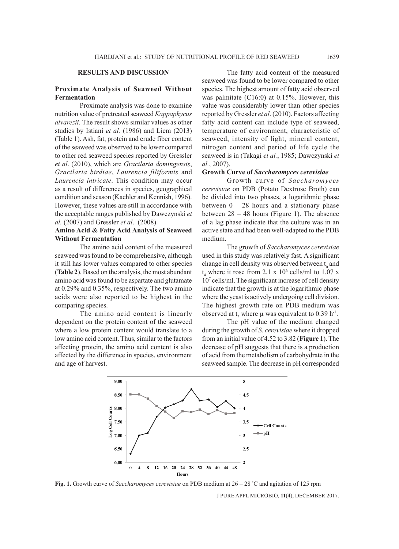# **RESULTS AND DISCUSSION**

# **Proximate Analysis of Seaweed Without Fermentation**

Proximate analysis was done to examine nutrition value of pretreated seaweed *Kappaphycus alvarezii*. The result shows similar values as other studies by Istiani *et al.* (1986) and Liem (2013) (Table 1). Ash, fat, protein and crude fiber content of the seaweed was observed to be lower compared to other red seaweed species reported by Gressler *et al*. (2010), which are *Gracilaria domingensis*, *Gracilaria birdiae*, *Laurencia filiformis* and *Laurencia intricate*. This condition may occur as a result of differences in species, geographical condition and season (Kaehler and Kennish, 1996). However, these values are still in accordance with the acceptable ranges published by Dawczynski *et al.* (2007) and Gressler *et al*. (2008).

# **Amino Acid & Fatty Acid Analysis of Seaweed Without Fermentation**

The amino acid content of the measured seaweed was found to be comprehensive, although it still has lower values compared to other species (**Table 2**). Based on the analysis, the most abundant amino acid was found to be aspartate and glutamate at 0.29% and 0.35%, respectively. The two amino acids were also reported to be highest in the comparing species.

The amino acid content is linearly dependent on the protein content of the seaweed where a low protein content would translate to a low amino acid content. Thus, similar to the factors affecting protein, the amino acid content is also affected by the difference in species, environment and age of harvest.

The fatty acid content of the measured seaweed was found to be lower compared to other species. The highest amount of fatty acid observed was palmitate (C16:0) at 0.15%. However, this value was considerably lower than other species reported by Gressler *et al*. (2010). Factors affecting fatty acid content can include type of seaweed, temperature of environment, characteristic of seaweed, intensity of light, mineral content, nitrogen content and period of life cycle the seaweed is in (Takagi *et al.*, 1985; Dawczynski *et al.*, 2007).

# **Growth Curve of** *Saccharomyces cerevisiae*

Growth curve of *Saccharomyces cerevisiae* on PDB (Potato Dextrose Broth) can be divided into two phases, a logarithmic phase between  $0 - 28$  hours and a stationary phase between  $28 - 48$  hours (Figure 1). The absence of a lag phase indicate that the culture was in an active state and had been well-adapted to the PDB medium.

The growth of *Saccharomyces cerevisiae* used in this study was relatively fast. A significant change in cell density was observed between  $t_0$  and  $t_4$  where it rose from 2.1 x 10<sup>6</sup> cells/ml to 1.07 x 107 cells/ml. The significant increase of cell density indicate that the growth is at the logarithmic phase where the yeast is actively undergoing cell division. The highest growth rate on PDB medium was observed at  $t_2$  where  $\mu$  was equivalent to 0.39 h<sup>-1</sup>.

The pH value of the medium changed during the growth of *S. cerevisiae* where it dropped from an initial value of 4.52 to 3.82 (**Figure 1**). The decrease of pH suggests that there is a production of acid from the metabolism of carbohydrate in the seaweed sample. The decrease in pH corresponded



J PURE APPL MICROBIO*,* **11**(4), DECEMBER 2017. **Fig. 1.** Growth curve of *Saccharomyces cerevisiae* on PDB medium at 26 – 28 ° C and agitation of 125 rpm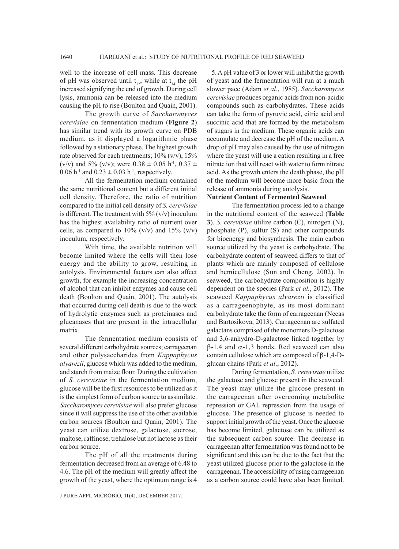well to the increase of cell mass. This decrease of pH was observed until  $t_{12}$ , while at  $t_{14}$  the pH increased signifying the end of growth. During cell lysis, ammonia can be released into the medium causing the pH to rise (Boulton and Quain, 2001).

The growth curve of *Saccharomyces cerevisiae* on fermentation medium (**Figure 2**) has similar trend with its growth curve on PDB medium, as it displayed a logarithmic phase followed by a stationary phase. The highest growth rate observed for each treatments;  $10\%$  (v/v),  $15\%$ (v/v) and 5% (v/v); were  $0.38 \pm 0.05$  h<sup>-1</sup>,  $0.37 \pm$ 0.06 h<sup>-1</sup> and  $0.23 \pm 0.03$  h<sup>-1</sup>, respectively.

All the fermentation medium contained the same nutritional content but a different initial cell density. Therefore, the ratio of nutrition compared to the initial cell density of *S. cerevisiae* is different. The treatment with  $5\%$  (v/v) inoculum has the highest availability ratio of nutrient over cells, as compared to  $10\%$  (v/v) and  $15\%$  (v/v) inoculum, respectively.

With time, the available nutrition will become limited where the cells will then lose energy and the ability to grow, resulting in autolysis. Environmental factors can also affect growth, for example the increasing concentration of alcohol that can inhibit enzymes and cause cell death (Boulton and Quain, 2001). The autolysis that occurred during cell death is due to the work of hydrolytic enzymes such as proteinases and glucanases that are present in the intracellular matrix.

The fermentation medium consists of several different carbohydrate sources; carrageenan and other polysaccharides from *Kappaphycus alvarezii*, glucose which was added to the medium, and starch from maize flour. During the cultivation of *S. cerevisiae* in the fermentation medium, glucose will be the first resources to be utilized as it is the simplest form of carbon source to assimilate. *Saccharomyces cerevisiae* will also prefer glucose since it will suppress the use of the other available carbon sources (Boulton and Quain, 2001). The yeast can utilize dextrose, galactose, sucrose, maltose, raffinose, trehalose but not lactose as their carbon source.

The pH of all the treatments during fermentation decreased from an average of 6.48 to 4.6. The pH of the medium will greatly affect the growth of the yeast, where the optimum range is 4 – 5. A pH value of 3 or lower will inhibit the growth of yeast and the fermentation will run at a much slower pace (Adam *et al.*, 1985). *Saccharomyces cerevisiae* produces organic acids from non-acidic compounds such as carbohydrates. These acids can take the form of pyruvic acid, citric acid and succinic acid that are formed by the metabolism of sugars in the medium. These organic acids can accumulate and decrease the pH of the medium. A drop of pH may also caused by the use of nitrogen where the yeast will use a cation resulting in a free nitrate ion that will react with water to form nitrate acid. As the growth enters the death phase, the pH of the medium will become more basic from the release of ammonia during autolysis.

#### **Nutrient Content of Fermented Seaweed**

The fermentation process led to a change in the nutritional content of the seaweed (**Table 3**). *S. cerevisiae* utilize carbon (C), nitrogen (N), phosphate (P), sulfur (S) and other compounds for bioenergy and biosynthesis. The main carbon source utilized by the yeast is carbohydrate. The carbohydrate content of seaweed differs to that of plants which are mainly composed of cellulose and hemicellulose (Sun and Cheng, 2002). In seaweed, the carbohydrate composition is highly dependent on the species (Park *et al.*, 2012). The seaweed *Kappaphycus alvarezii* is classified as a carrageenophyte, as its most dominant carbohydrate take the form of carrageenan (Necas and Bartosikova, 2013). Carrageenan are sulfated galactans comprised of the monomers D-galactose and 3,6-anhydro-D-galactose linked together by  $\beta$ -1,4 and  $\alpha$ -1,3 bonds. Red seaweed can also contain cellulose which are composed of  $\beta$ -1,4-Dglucan chains (Park *et al*., 2012).

During fermentation, *S. cerevisiae* utilize the galactose and glucose present in the seaweed. The yeast may utilize the glucose present in the carrageenan after overcoming metabolite repression or GAL repression from the usage of glucose. The presence of glucose is needed to support initial growth of the yeast. Once the glucose has become limited, galactose can be utilized as the subsequent carbon source. The decrease in carrageenan after fermentation was found not to be significant and this can be due to the fact that the yeast utilized glucose prior to the galactose in the carrageenan. The accessibility of using carrageenan as a carbon source could have also been limited.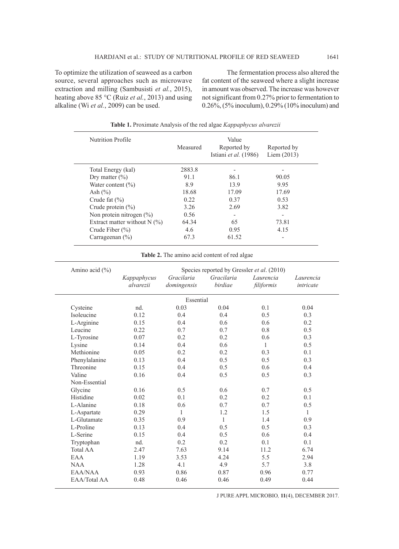To optimize the utilization of seaweed as a carbon source, several approaches such as microwave extraction and milling (Sambusisti *et al.*, 2015), heating above 85 °C (Ruiz *et al.*, 2013) and using alkaline (Wi *et al.*, 2009) can be used.

The fermentation process also altered the fat content of the seaweed where a slight increase in amount was observed. The increase was however not significant from 0.27% prior to fermentation to 0.26%, (5% inoculum), 0.29% (10% inoculum) and

| <b>Nutrition Profile</b>       | Measured | Value<br>Reported by<br>Istiani et al. (1986) | Reported by<br>Liem $(2013)$ |
|--------------------------------|----------|-----------------------------------------------|------------------------------|
| Total Energy (kal)             | 2883.8   | $\overline{\phantom{a}}$                      |                              |
| Dry matter $(\% )$             | 91.1     | 86.1                                          | 90.05                        |
| Water content $(\% )$          | 8.9      | 13.9                                          | 9.95                         |
| Ash $(\% )$                    | 18.68    | 17.09                                         | 17.69                        |
| Crude fat $(\% )$              | 0.22     | 0.37                                          | 0.53                         |
| Crude protein $(\% )$          | 3.26     | 2.69                                          | 3.82                         |
| Non protein nitrogen $(\% )$   | 0.56     | $\overline{\phantom{a}}$                      | -                            |
| Extract matter without $N$ (%) | 64.34    | 65                                            | 73.81                        |
| Crude Fiber $(\% )$            | 4.6      | 0.95                                          | 4.15                         |
| Carrageenan $(\% )$            | 67.3     | 61.52                                         |                              |

**Table 1.** Proximate Analysis of the red algae *Kappaphycus alvarezii*

**Table 2.** The amino acid content of red algae

| Amino acid (%)  | Species reported by Gressler et al. (2010) |                           |                       |                         |                        |  |  |
|-----------------|--------------------------------------------|---------------------------|-----------------------|-------------------------|------------------------|--|--|
|                 | Kappaphycus<br>alvarezii                   | Gracilaria<br>domingensis | Gracilaria<br>birdiae | Laurencia<br>filiformis | Laurencia<br>intricate |  |  |
|                 |                                            | Essential                 |                       |                         |                        |  |  |
| Cysteine        | nd.                                        | 0.03                      | 0.04                  | 0.1                     | 0.04                   |  |  |
| Isoleucine      | 0.12                                       | 0.4                       | 0.4                   | 0.5                     | 0.3                    |  |  |
| L-Arginine      | 0.15                                       | 0.4                       | 0.6                   | 0.6                     | 0.2                    |  |  |
| Leucine         | 0.22                                       | 0.7                       | 0.7                   | 0.8                     | 0.5                    |  |  |
| L-Tyrosine      | 0.07                                       | 0.2                       | 0.2                   | 0.6                     | 0.3                    |  |  |
| Lysine          | 0.14                                       | 0.4                       | 0.6                   | $\mathbf{1}$            | 0.5                    |  |  |
| Methionine      | 0.05                                       | 0.2                       | 0.2                   | 0.3                     | 0.1                    |  |  |
| Phenylalanine   | 0.13                                       | 0.4                       | 0.5                   | 0.5                     | 0.3                    |  |  |
| Threonine       | 0.15                                       | 0.4                       | 0.5                   | 0.6                     | 0.4                    |  |  |
| Valine          | 0.16                                       | 0.4                       | 0.5                   | 0.5                     | 0.3                    |  |  |
| Non-Essential   |                                            |                           |                       |                         |                        |  |  |
| Glycine         | 0.16                                       | 0.5                       | 0.6                   | 0.7                     | 0.5                    |  |  |
| Histidine       | 0.02                                       | 0.1                       | 0.2                   | 0.2                     | 0.1                    |  |  |
| L-Alanine       | 0.18                                       | 0.6                       | 0.7                   | 0.7                     | 0.5                    |  |  |
| L-Aspartate     | 0.29                                       | 1                         | 1.2                   | 1.5                     | $\mathbf{1}$           |  |  |
| L-Glutamate     | 0.35                                       | 0.9                       | $\mathbf{1}$          | 1.4                     | 0.9                    |  |  |
| L-Proline       | 0.13                                       | 0.4                       | 0.5                   | 0.5                     | 0.3                    |  |  |
| L-Serine        | 0.15                                       | 0.4                       | 0.5                   | 0.6                     | 0.4                    |  |  |
| Tryptophan      | nd.                                        | 0.2                       | 0.2                   | 0.1                     | 0.1                    |  |  |
| <b>Total AA</b> | 2.47                                       | 7.63                      | 9.14                  | 11.2                    | 6.74                   |  |  |
| EAA             | 1.19                                       | 3.53                      | 4.24                  | 5.5                     | 2.94                   |  |  |
| <b>NAA</b>      | 1.28                                       | 4.1                       | 4.9                   | 5.7                     | 3.8                    |  |  |
| EAA/NAA         | 0.93                                       | 0.86                      | 0.87                  | 0.96                    | 0.77                   |  |  |
| EAA/Total AA    | 0.48                                       | 0.46                      | 0.46                  | 0.49                    | 0.44                   |  |  |
|                 |                                            |                           |                       |                         |                        |  |  |

J PURE APPL MICROBIO*,* **11**(4), DECEMBER 2017.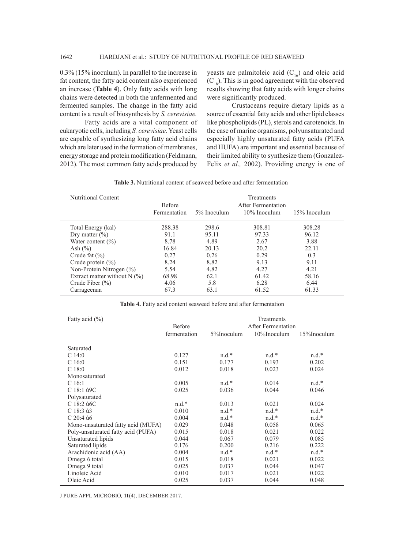0.3% (15% inoculum). In parallel to the increase in fat content, the fatty acid content also experienced an increase (**Table 4**). Only fatty acids with long chains were detected in both the unfermented and fermented samples. The change in the fatty acid content is a result of biosynthesis by *S. cerevisiae.*

Fatty acids are a vital component of eukaryotic cells, including *S. cerevisiae*. Yeast cells are capable of synthesizing long fatty acid chains which are later used in the formation of membranes, energy storage and protein modification (Feldmann, 2012). The most common fatty acids produced by yeasts are palmitoleic acid  $(C_{16})$  and oleic acid  $(C_{18})$ . This is in good agreement with the observed results showing that fatty acids with longer chains were significantly produced.

Crustaceans require dietary lipids as a source of essential fatty acids and other lipid classes like phospholipids (PL), sterols and carotenoids. In the case of marine organisms, polyunsaturated and especially highly unsaturated fatty acids (PUFA and HUFA) are important and essential because of their limited ability to synthesize them (Gonzalez-Felix *et al.,* 2002). Providing energy is one of

| <b>Table 3.</b> Nutritional content of seaweed before and after fermentation |  |  |  |  |  |
|------------------------------------------------------------------------------|--|--|--|--|--|
|------------------------------------------------------------------------------|--|--|--|--|--|

| Nutritional Content            | <b>Before</b><br>Fermentation | 5% Inoculum | <b>Treatments</b><br>After Fermentation<br>10% Inoculum | 15% Inoculum |
|--------------------------------|-------------------------------|-------------|---------------------------------------------------------|--------------|
| Total Energy (kal)             | 288.38                        | 298.6       | 308.81                                                  | 308.28       |
| Dry matter $(\% )$             | 91.1                          | 95.11       | 97.33                                                   | 96.12        |
| Water content $(\% )$          | 8.78                          | 4.89        | 2.67                                                    | 3.88         |
| Ash $(\% )$                    | 16.84                         | 20.13       | 20.2                                                    | 22.11        |
| Crude fat $(\% )$              | 0.27                          | 0.26        | 0.29                                                    | 0.3          |
| Crude protein $(\% )$          | 8.24                          | 8.82        | 9.13                                                    | 9.11         |
| Non-Protein Nitrogen $(\%)$    | 5.54                          | 4.82        | 4.27                                                    | 4.21         |
| Extract matter without $N$ (%) | 68.98                         | 62.1        | 61.42                                                   | 58.16        |
| Crude Fiber $(\% )$            | 4.06                          | 5.8         | 6.28                                                    | 6.44         |
| Carrageenan                    | 67.3                          | 63.1        | 61.52                                                   | 61.33        |

**Table 4.** Fatty acid content seaweed before and after fermentation

| Fatty acid $(\% )$                 | Treatments<br>Before<br>After Fermentation |            |             |             |
|------------------------------------|--------------------------------------------|------------|-------------|-------------|
|                                    | fermentation                               | 5%Inoculum | 10%Inoculum | 15%Inoculum |
| Saturated                          |                                            |            |             |             |
| C14:0                              | 0.127                                      | $n.d.*$    | $n.d.*$     | $n.d.*$     |
| C <sub>16:0</sub>                  | 0.151                                      | 0.177      | 0.193       | 0.202       |
| C <sub>18:0</sub>                  | 0.012                                      | 0.018      | 0.023       | 0.024       |
| Monosaturated                      |                                            |            |             |             |
| C16:1                              | 0.005                                      | $n.d.*$    | 0.014       | $n.d.*$     |
| C 18:1 ù9C                         | 0.025                                      | 0.036      | 0.044       | 0.046       |
| Polysaturated                      |                                            |            |             |             |
| C 18:2 ù6C                         | $n.d.*$                                    | 0.013      | 0.021       | 0.024       |
| $C$ 18:3 ù3                        | 0.010                                      | $n.d.*$    | $n.d.*$     | $n.d.*$     |
| $C$ 20:4 $\dot{u}$ 6               | 0.004                                      | $n.d.*$    | $n.d.*$     | $n.d.*$     |
| Mono-unsaturated fatty acid (MUFA) | 0.029                                      | 0.048      | 0.058       | 0.065       |
| Poly-unsaturated fatty acid (PUFA) | 0.015                                      | 0.018      | 0.021       | 0.022       |
| Unsaturated lipids                 | 0.044                                      | 0.067      | 0.079       | 0.085       |
| Saturated lipids                   | 0.176                                      | 0.200      | 0.216       | 0.222       |
| Arachidonic acid (AA)              | 0.004                                      | $n.d.*$    | $n.d.*$     | $n.d.*$     |
| Omega 6 total                      | 0.015                                      | 0.018      | 0.021       | 0.022       |
| Omega 9 total                      | 0.025                                      | 0.037      | 0.044       | 0.047       |
| Linoleic Acid                      | 0.010                                      | 0.017      | 0.021       | 0.022       |
| Oleic Acid                         | 0.025                                      | 0.037      | 0.044       | 0.048       |

J PURE APPL MICROBIO*,* **11**(4), DECEMBER 2017.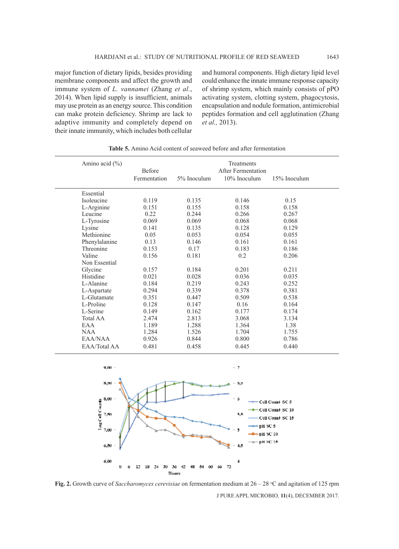major function of dietary lipids, besides providing membrane components and affect the growth and immune system of *L. vannamei* (Zhang *et al.*, 2014). When lipid supply is insufficient, animals may use protein as an energy source. This condition can make protein deficiency. Shrimp are lack to adaptive immunity and completely depend on their innate immunity, which includes both cellular and humoral components. High dietary lipid level could enhance the innate immune response capacity of shrimp system, which mainly consists of pPO activating system, clotting system, phagocytosis, encapsulation and nodule formation, antimicrobial peptides formation and cell agglutination (Zhang *et al.,* 2013).

| Amino acid $(\% )$ | Before<br>Fermentation | 5% Inoculum | Treatments<br><b>After Fermentation</b><br>10% Inoculum | 15% Inoculum |
|--------------------|------------------------|-------------|---------------------------------------------------------|--------------|
|                    |                        |             |                                                         |              |
| Essential          |                        |             |                                                         |              |
| Isoleucine         | 0.119                  | 0.135       | 0.146                                                   | 0.15         |
| L-Arginine         | 0.151                  | 0.155       | 0.158                                                   | 0.158        |
| Leucine            | 0.22                   | 0.244       | 0.266                                                   | 0.267        |
| L-Tyrosine         | 0.069                  | 0.069       | 0.068                                                   | 0.068        |
| Lysine             | 0.141                  | 0.135       | 0.128                                                   | 0.129        |
| Methionine         | 0.05                   | 0.053       | 0.054                                                   | 0.055        |
| Phenylalanine      | 0.13                   | 0.146       | 0.161                                                   | 0.161        |
| Threonine          | 0.153                  | 0.17        | 0.183                                                   | 0.186        |
| Valine             | 0.156                  | 0.181       | 0.2                                                     | 0.206        |
| Non Essential      |                        |             |                                                         |              |
| Glycine            | 0.157                  | 0.184       | 0.201                                                   | 0.211        |
| Histidine          | 0.021                  | 0.028       | 0.036                                                   | 0.035        |
| L-Alanine          | 0.184                  | 0.219       | 0.243                                                   | 0.252        |
| L-Aspartate        | 0.294                  | 0.339       | 0.378                                                   | 0.381        |
| L-Glutamate        | 0.351                  | 0.447       | 0.509                                                   | 0.538        |
| L-Proline          | 0.128                  | 0.147       | 0.16                                                    | 0.164        |
| L-Serine           | 0.149                  | 0.162       | 0.177                                                   | 0.174        |
| <b>Total AA</b>    | 2.474                  | 2.813       | 3.068                                                   | 3.134        |
| EAA                | 1.189                  | 1.288       | 1.364                                                   | 1.38         |
| <b>NAA</b>         | 1.284                  | 1.526       | 1.704                                                   | 1.755        |
| EAA/NAA            | 0.926                  | 0.844       | 0.800                                                   | 0.786        |
| EAA/Total AA       | 0.481                  | 0.458       | 0.445                                                   | 0.440        |

**Table 5.** Amino Acid content of seaweed before and after fermentation



J PURE APPL MICROBIO*,* **11**(4), DECEMBER 2017. **Fig. 2.** Growth curve of *Saccharomyces cerevisiae* on fermentation medium at 26 – 28 °C and agitation of 125 rpm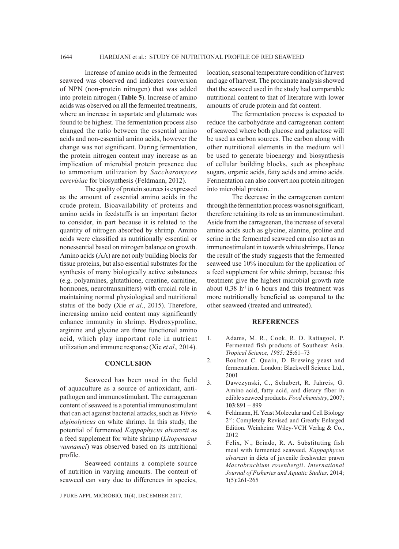Increase of amino acids in the fermented seaweed was observed and indicates conversion of NPN (non-protein nitrogen) that was added into protein nitrogen (**Table 5**). Increase of amino acids was observed on all the fermented treatments, where an increase in aspartate and glutamate was found to be highest. The fermentation process also changed the ratio between the essential amino acids and non-essential amino acids, however the change was not significant. During fermentation, the protein nitrogen content may increase as an implication of microbial protein presence due to ammonium utilization by *Saccharomyces cerevisiae* for biosynthesis (Feldmann, 2012).

The quality of protein sources is expressed as the amount of essential amino acids in the crude protein. Bioavailability of proteins and amino acids in feedstuffs is an important factor to consider, in part because it is related to the quantity of nitrogen absorbed by shrimp. Amino acids were classified as nutritionally essential or nonessential based on nitrogen balance on growth. Amino acids (AA) are not only building blocks for tissue proteins, but also essential substrates for the synthesis of many biologically active substances (e.g. polyamines, glutathione, creatine, carnitine, hormones, neurotransmitters) with crucial role in maintaining normal physiological and nutritional status of the body (Xie *et al*., 2015). Therefore, increasing amino acid content may significantly enhance immunity in shrimp. Hydroxyproline, arginine and glycine are three functional amino acid, which play important role in nutrient utilization and immune response (Xie *et al*.*,* 2014).

### **CONCLUSION**

Seaweed has been used in the field of aquaculture as a source of antioxidant, antipathogen and immunostimulant. The carrageenan content of seaweed is a potential immunostimulant that can act against bacterial attacks, such as *Vibrio alginolyticus* on white shrimp. In this study, the potential of fermented *Kappaphycus alvarezii* as a feed supplement for white shrimp (*Litopenaeus vannamei*) was observed based on its nutritional profile.

Seaweed contains a complete source of nutrition in varying amounts. The content of seaweed can vary due to differences in species,

J PURE APPL MICROBIO*,* **11**(4), DECEMBER 2017.

location, seasonal temperature condition of harvest and age of harvest. The proximate analysis showed that the seaweed used in the study had comparable nutritional content to that of literature with lower amounts of crude protein and fat content.

The fermentation process is expected to reduce the carbohydrate and carrageenan content of seaweed where both glucose and galactose will be used as carbon sources. The carbon along with other nutritional elements in the medium will be used to generate bioenergy and biosynthesis of cellular building blocks, such as phosphate sugars, organic acids, fatty acids and amino acids. Fermentation can also convert non protein nitrogen into microbial protein.

The decrease in the carrageenan content through the fermentation process was not significant, therefore retaining its role as an immunostimulant. Aside from the carrageenan, the increase of several amino acids such as glycine, alanine, proline and serine in the fermented seaweed can also act as an immunostimulant in towards white shrimps. Hence the result of the study suggests that the fermented seaweed use 10% inoculum for the application of a feed supplement for white shrimp, because this treatment give the highest microbial growth rate about  $0,38$  h<sup>-1</sup> in 6 hours and this treatment was more nutritionally beneficial as compared to the other seaweed (treated and untreated).

#### **REFERENCES**

- 1. Adams, M. R., Cook, R. D. Rattagool, P. Fermented fish products of Southeast Asia. *Tropical Science, 1985;* **25**:61–73
- 2. Boulton C. Quain, D. Brewing yeast and fermentation. London: Blackwell Science Ltd., 2001
- 3. Dawczynski, C., Schubert, R. Jahreis, G. Amino acid, fatty acid, and dietary fiber in edible seaweed products. *Food chemistry*, 2007; **103**:891 – 899
- 4. Feldmann, H. Yeast Molecular and Cell Biology 2nd: Completely Revised and Greatly Enlarged Edition. Weinheim: Wiley-VCH Verlag & Co., 2012
- 5. Felix, N., Brindo, R. A. Substituting fish meal with fermented seaweed, *Kappaphycus alvarezii* in diets of juvenile freshwater prawn *Macrobrachium rosenbergii*. *International Journal of Fisheries and Aquatic Studies,* 2014; **1**(5):261-265